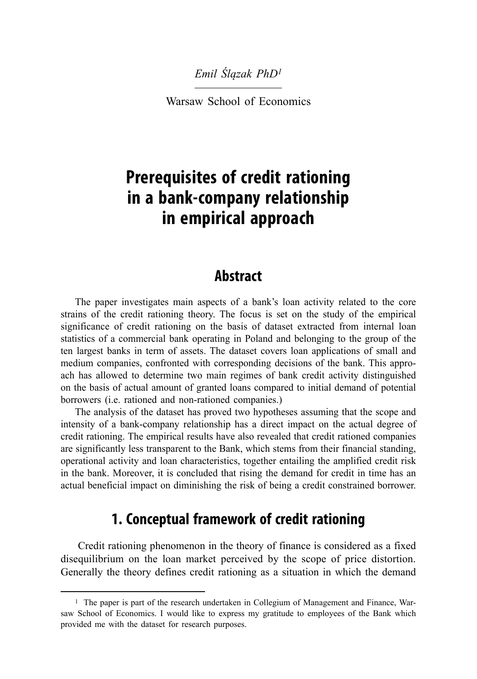#### *Emil Ślązak PhD<sup>1</sup>*

Warsaw School of Economics

# **Prerequisites of credit rationing in a bank-company relationship in empirical approach**

### **Abstract**

The paper investigates main aspects of a bank's loan activity related to the core strains of the credit rationing theory. The focus is set on the study of the empirical significance of credit rationing on the basis of dataset extracted from internal loan statistics of a commercial bank operating in Poland and belonging to the group of the ten largest banks in term of assets. The dataset covers loan applications of small and medium companies, confronted with corresponding decisions of the bank. This approach has allowed to determine two main regimes of bank credit activity distinguished on the basis of actual amount of granted loans compared to initial demand of potential borrowers (i.e. rationed and non-rationed companies.)

The analysis of the dataset has proved two hypotheses assuming that the scope and intensity of a bank-company relationship has a direct impact on the actual degree of credit rationing. The empirical results have also revealed that credit rationed companies are significantly less transparent to the Bank, which stems from their financial standing, operational activity and loan characteristics, together entailing the amplified credit risk in the bank. Moreover, it is concluded that rising the demand for credit in time has an actual beneficial impact on diminishing the risk of being a credit constrained borrower.

## **1. Conceptual framework of credit rationing**

Credit rationing phenomenon in the theory of finance is considered as a fixed disequilibrium on the loan market perceived by the scope of price distortion. Generally the theory defines credit rationing as a situation in which the demand

<sup>1</sup> The paper is part of the research undertaken in Collegium of Management and Finance, Warsaw School of Economics. I would like to express my gratitude to employees of the Bank which provided me with the dataset for research purposes.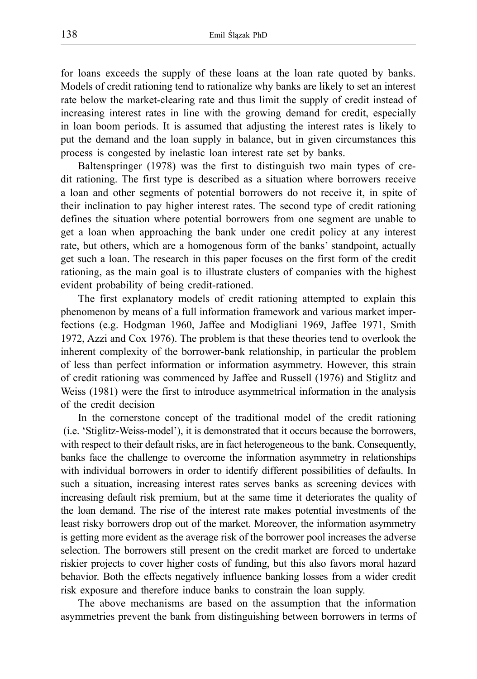for loans exceeds the supply of these loans at the loan rate quoted by banks. Models of credit rationing tend to rationalize why banks are likely to set an interest rate below the market-clearing rate and thus limit the supply of credit instead of increasing interest rates in line with the growing demand for credit, especially in loan boom periods. It is assumed that adjusting the interest rates is likely to put the demand and the loan supply in balance, but in given circumstances this process is congested by inelastic loan interest rate set by banks.

Baltenspringer (1978) was the first to distinguish two main types of credit rationing. The first type is described as a situation where borrowers receive a loan and other segments of potential borrowers do not receive it, in spite of their inclination to pay higher interest rates. The second type of credit rationing defines the situation where potential borrowers from one segment are unable to get a loan when approaching the bank under one credit policy at any interest rate, but others, which are a homogenous form of the banks' standpoint, actually get such a loan. The research in this paper focuses on the first form of the credit rationing, as the main goal is to illustrate clusters of companies with the highest evident probability of being credit-rationed.

The first explanatory models of credit rationing attempted to explain this phenomenon by means of a full information framework and various market imperfections (e.g. Hodgman 1960, Jaffee and Modigliani 1969, Jaffee 1971, Smith 1972, Azzi and Cox 1976). The problem is that these theories tend to overlook the inherent complexity of the borrower-bank relationship, in particular the problem of less than perfect information or information asymmetry. However, this strain of credit rationing was commenced by Jaffee and Russell (1976) and Stiglitz and Weiss (1981) were the first to introduce asymmetrical information in the analysis of the credit decision

In the cornerstone concept of the traditional model of the credit rationing (i.e. 'Stiglitz-Weiss-model'), it is demonstrated that it occurs because the borrowers, with respect to their default risks, are in fact heterogeneous to the bank. Consequently, banks face the challenge to overcome the information asymmetry in relationships with individual borrowers in order to identify different possibilities of defaults. In such a situation, increasing interest rates serves banks as screening devices with increasing default risk premium, but at the same time it deteriorates the quality of the loan demand. The rise of the interest rate makes potential investments of the least risky borrowers drop out of the market. Moreover, the information asymmetry is getting more evident as the average risk of the borrower pool increases the adverse selection. The borrowers still present on the credit market are forced to undertake riskier projects to cover higher costs of funding, but this also favors moral hazard behavior. Both the effects negatively influence banking losses from a wider credit risk exposure and therefore induce banks to constrain the loan supply.

The above mechanisms are based on the assumption that the information asymmetries prevent the bank from distinguishing between borrowers in terms of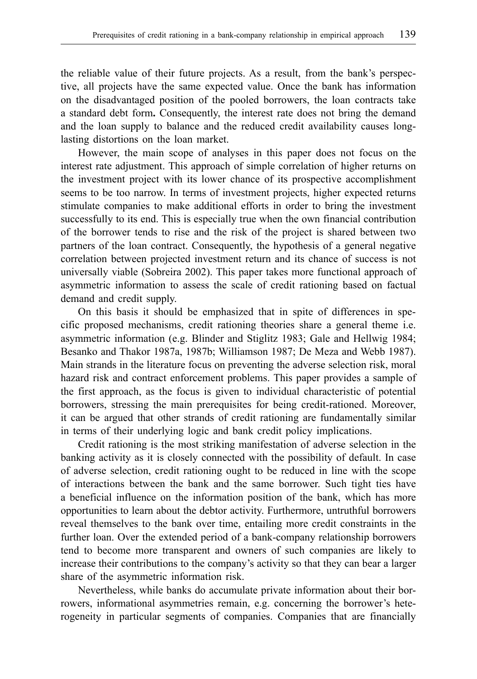the reliable value of their future projects. As a result, from the bank's perspective, all projects have the same expected value. Once the bank has information on the disadvantaged position of the pooled borrowers, the loan contracts take a standard debt form**.** Consequently, the interest rate does not bring the demand and the loan supply to balance and the reduced credit availability causes longlasting distortions on the loan market.

However, the main scope of analyses in this paper does not focus on the interest rate adjustment. This approach of simple correlation of higher returns on the investment project with its lower chance of its prospective accomplishment seems to be too narrow. In terms of investment projects, higher expected returns stimulate companies to make additional efforts in order to bring the investment successfully to its end. This is especially true when the own financial contribution of the borrower tends to rise and the risk of the project is shared between two partners of the loan contract. Consequently, the hypothesis of a general negative correlation between projected investment return and its chance of success is not universally viable (Sobreira 2002). This paper takes more functional approach of asymmetric information to assess the scale of credit rationing based on factual demand and credit supply.

On this basis it should be emphasized that in spite of differences in specific proposed mechanisms, credit rationing theories share a general theme i.e. asymmetric information (e.g. Blinder and Stiglitz 1983; Gale and Hellwig 1984; Besanko and Thakor 1987a, 1987b; Williamson 1987; De Meza and Webb 1987). Main strands in the literature focus on preventing the adverse selection risk, moral hazard risk and contract enforcement problems. This paper provides a sample of the first approach, as the focus is given to individual characteristic of potential borrowers, stressing the main prerequisites for being credit-rationed. Moreover, it can be argued that other strands of credit rationing are fundamentally similar in terms of their underlying logic and bank credit policy implications.

Credit rationing is the most striking manifestation of adverse selection in the banking activity as it is closely connected with the possibility of default. In case of adverse selection, credit rationing ought to be reduced in line with the scope of interactions between the bank and the same borrower. Such tight ties have a beneficial influence on the information position of the bank, which has more opportunities to learn about the debtor activity. Furthermore, untruthful borrowers reveal themselves to the bank over time, entailing more credit constraints in the further loan. Over the extended period of a bank-company relationship borrowers tend to become more transparent and owners of such companies are likely to increase their contributions to the company's activity so that they can bear a larger share of the asymmetric information risk.

Nevertheless, while banks do accumulate private information about their borrowers, informational asymmetries remain, e.g. concerning the borrower's heterogeneity in particular segments of companies. Companies that are financially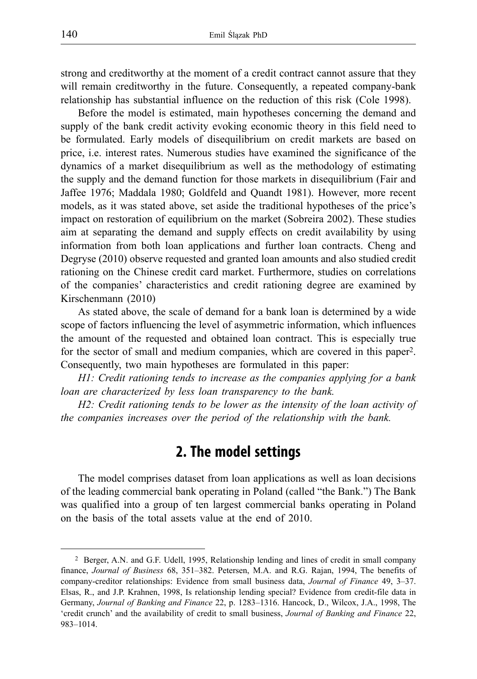strong and creditworthy at the moment of a credit contract cannot assure that they will remain creditworthy in the future. Consequently, a repeated company-bank relationship has substantial influence on the reduction of this risk (Cole 1998).

Before the model is estimated, main hypotheses concerning the demand and supply of the bank credit activity evoking economic theory in this field need to be formulated. Early models of disequilibrium on credit markets are based on price, i.e. interest rates. Numerous studies have examined the significance of the dynamics of a market disequilibrium as well as the methodology of estimating the supply and the demand function for those markets in disequilibrium (Fair and Jaffee 1976; Maddala 1980; Goldfeld and Quandt 1981). However, more recent models, as it was stated above, set aside the traditional hypotheses of the price's impact on restoration of equilibrium on the market (Sobreira 2002). These studies aim at separating the demand and supply effects on credit availability by using information from both loan applications and further loan contracts. Cheng and Degryse (2010) observe requested and granted loan amounts and also studied credit rationing on the Chinese credit card market. Furthermore, studies on correlations of the companies' characteristics and credit rationing degree are examined by Kirschenmann (2010)

As stated above, the scale of demand for a bank loan is determined by a wide scope of factors influencing the level of asymmetric information, which influences the amount of the requested and obtained loan contract. This is especially true for the sector of small and medium companies, which are covered in this paper2. Consequently, two main hypotheses are formulated in this paper:

*H1: Credit rationing tends to increase as the companies applying for a bank loan are characterized by less loan transparency to the bank.*

*H2: Credit rationing tends to be lower as the intensity of the loan activity of the companies increases over the period of the relationship with the bank.*

## **2. The model settings**

The model comprises dataset from loan applications as well as loan decisions of the leading commercial bank operating in Poland (called "the Bank.") The Bank was qualified into a group of ten largest commercial banks operating in Poland on the basis of the total assets value at the end of 2010.

<sup>2</sup> Berger, A.N. and G.F. Udell, 1995, Relationship lending and lines of credit in small company finance, *Journal of Business* 68, 351–382. Petersen, M.A. and R.G. Rajan, 1994, The benefits of company-creditor relationships: Evidence from small business data, *Journal of Finance* 49, 3–37. Elsas, R., and J.P. Krahnen, 1998, Is relationship lending special? Evidence from credit-file data in Germany, *Journal of Banking and Finance* 22, p. 1283–1316. Hancock, D., Wilcox, J.A., 1998, The 'credit crunch' and the availability of credit to small business, *Journal of Banking and Finance* 22, 983–1014.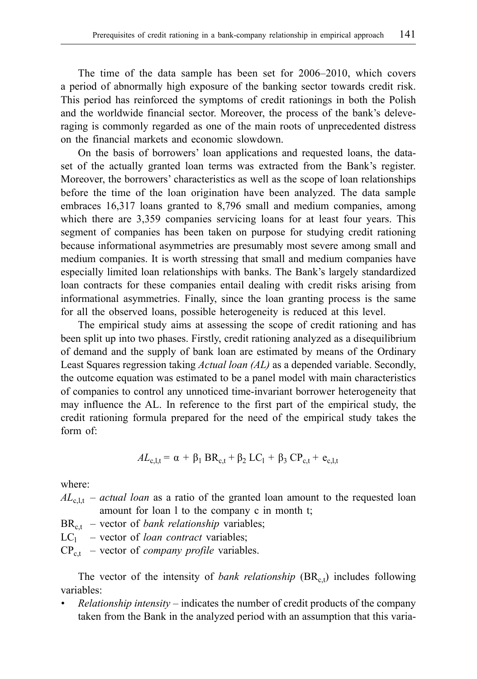The time of the data sample has been set for 2006–2010, which covers a period of abnormally high exposure of the banking sector towards credit risk. This period has reinforced the symptoms of credit rationings in both the Polish and the worldwide financial sector. Moreover, the process of the bank's deleveraging is commonly regarded as one of the main roots of unprecedented distress on the financial markets and economic slowdown.

On the basis of borrowers' loan applications and requested loans, the dataset of the actually granted loan terms was extracted from the Bank's register. Moreover, the borrowers' characteristics as well as the scope of loan relationships before the time of the loan origination have been analyzed. The data sample embraces 16,317 loans granted to 8,796 small and medium companies, among which there are 3,359 companies servicing loans for at least four years. This segment of companies has been taken on purpose for studying credit rationing because informational asymmetries are presumably most severe among small and medium companies. It is worth stressing that small and medium companies have especially limited loan relationships with banks. The Bank's largely standardized loan contracts for these companies entail dealing with credit risks arising from informational asymmetries. Finally, since the loan granting process is the same for all the observed loans, possible heterogeneity is reduced at this level.

The empirical study aims at assessing the scope of credit rationing and has been split up into two phases. Firstly, credit rationing analyzed as a disequilibrium of demand and the supply of bank loan are estimated by means of the Ordinary Least Squares regression taking *Actual loan (AL)* as a depended variable. Secondly, the outcome equation was estimated to be a panel model with main characteristics of companies to control any unnoticed time-invariant borrower heterogeneity that may influence the AL. In reference to the first part of the empirical study, the credit rationing formula prepared for the need of the empirical study takes the form of:

$$
AL_{c,l,t} = \alpha + \beta_1 BR_{c,t} + \beta_2 LC_1 + \beta_3 CP_{c,t} + e_{c,l,t}
$$

where:

- $AL_{c,1,t}$  *actual loan* as a ratio of the granted loan amount to the requested loan amount for loan l to the company c in month t;
- $BR<sub>ct</sub>$  vector of *bank relationship* variables;
- $LC_1$  vector of *loan contract* variables;

 $CP_{c,t}$  – vector of *company profile* variables.

The vector of the intensity of *bank relationship*  $(BR_{c,t})$  includes following variables:

*• Relationship intensity* – indicates the number of credit products of the company taken from the Bank in the analyzed period with an assumption that this varia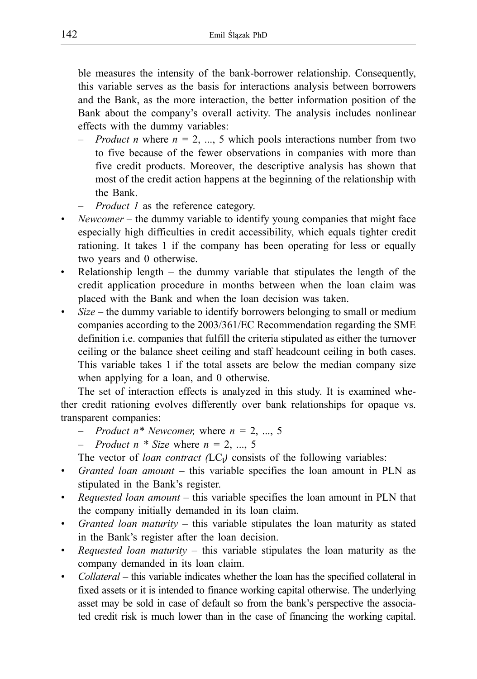ble measures the intensity of the bank-borrower relationship. Consequently, this variable serves as the basis for interactions analysis between borrowers and the Bank, as the more interaction, the better information position of the Bank about the company's overall activity. The analysis includes nonlinear effects with the dummy variables:

- *– Product n* where *n =* 2, ..., 5 which pools interactions number from two to five because of the fewer observations in companies with more than five credit products. Moreover, the descriptive analysis has shown that most of the credit action happens at the beginning of the relationship with the Bank.
- *Product 1* as the reference category.
- *• Newcomer* the dummy variable to identify young companies that might face especially high difficulties in credit accessibility, which equals tighter credit rationing. It takes 1 if the company has been operating for less or equally two years and 0 otherwise.
- Relationship length the dummy variable that stipulates the length of the credit application procedure in months between when the loan claim was placed with the Bank and when the loan decision was taken.
- *Size* the dummy variable to identify borrowers belonging to small or medium companies according to the 2003/361/EC Recommendation regarding the SME definition i.e. companies that fulfill the criteria stipulated as either the turnover ceiling or the balance sheet ceiling and staff headcount ceiling in both cases. This variable takes 1 if the total assets are below the median company size when applying for a loan, and 0 otherwise.

The set of interaction effects is analyzed in this study. It is examined whether credit rationing evolves differently over bank relationships for opaque vs. transparent companies:

- *– Product n\* Newcomer,* where *n =* 2, ..., 5
- *Product n* \* *Size* where  $n = 2, ..., 5$
- The vector of *loan contract*  $(LC_1)$  consists of the following variables:
- *Granted loan amount* this variable specifies the loan amount in PLN as stipulated in the Bank's register.
- *• Requested loan amount*  this variable specifies the loan amount in PLN that the company initially demanded in its loan claim.
- *• Granted loan maturity* this variable stipulates the loan maturity as stated in the Bank's register after the loan decision.
- *• Requested loan maturity*  this variable stipulates the loan maturity as the company demanded in its loan claim.
- *Collateral* this variable indicates whether the loan has the specified collateral in fixed assets or it is intended to finance working capital otherwise. The underlying asset may be sold in case of default so from the bank's perspective the associated credit risk is much lower than in the case of financing the working capital.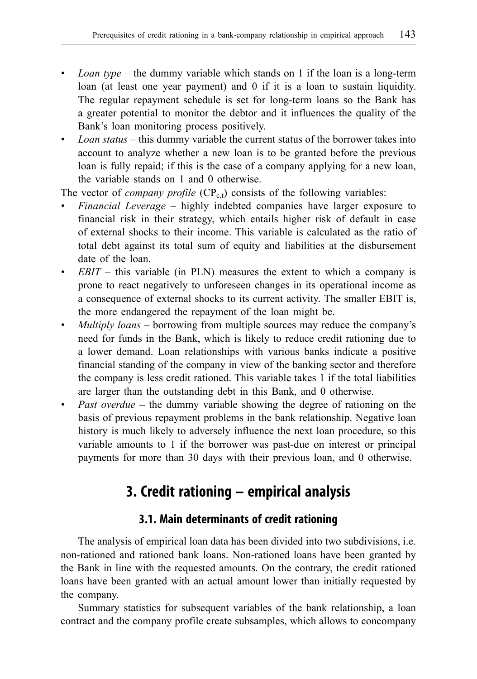- *• Loan type* the dummy variable which stands on 1 if the loan is a long-term loan (at least one year payment) and 0 if it is a loan to sustain liquidity. The regular repayment schedule is set for long-term loans so the Bank has a greater potential to monitor the debtor and it influences the quality of the Bank's loan monitoring process positively.
- *• Loan status* this dummy variable the current status of the borrower takes into account to analyze whether a new loan is to be granted before the previous loan is fully repaid; if this is the case of a company applying for a new loan, the variable stands on 1 and 0 otherwise.

The vector of *company profile*  $(CP_{c,t})$  consists of the following variables:

- *• Financial Leverage* highly indebted companies have larger exposure to financial risk in their strategy, which entails higher risk of default in case of external shocks to their income. This variable is calculated as the ratio of total debt against its total sum of equity and liabilities at the disbursement date of the loan.
- *<i>EBIT* this variable (in PLN) measures the extent to which a company is prone to react negatively to unforeseen changes in its operational income as a consequence of external shocks to its current activity. The smaller EBIT is, the more endangered the repayment of the loan might be.
- *• Multiply loans* borrowing from multiple sources may reduce the company's need for funds in the Bank, which is likely to reduce credit rationing due to a lower demand. Loan relationships with various banks indicate a positive financial standing of the company in view of the banking sector and therefore the company is less credit rationed. This variable takes 1 if the total liabilities are larger than the outstanding debt in this Bank, and 0 otherwise.
- *Past overdue* the dummy variable showing the degree of rationing on the basis of previous repayment problems in the bank relationship. Negative loan history is much likely to adversely influence the next loan procedure, so this variable amounts to 1 if the borrower was past-due on interest or principal payments for more than 30 days with their previous loan, and 0 otherwise.

## **3. Credit rationing – empirical analysis**

#### **3.1. Main determinants of credit rationing**

The analysis of empirical loan data has been divided into two subdivisions, i.e. non-rationed and rationed bank loans. Non-rationed loans have been granted by the Bank in line with the requested amounts. On the contrary, the credit rationed loans have been granted with an actual amount lower than initially requested by the company.

Summary statistics for subsequent variables of the bank relationship, a loan contract and the company profile create subsamples, which allows to concompany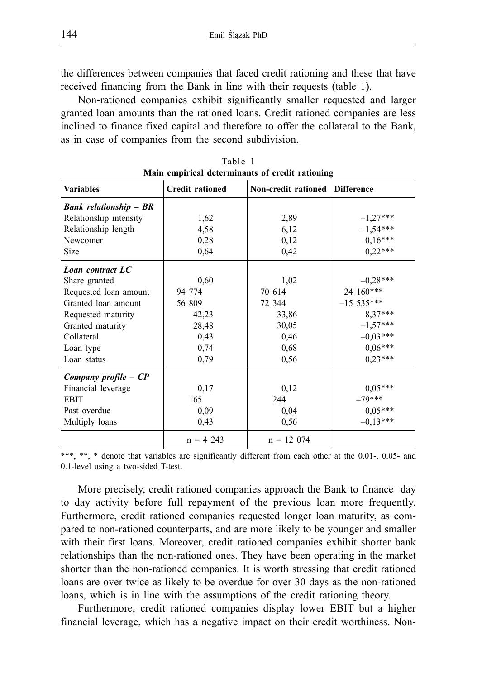the differences between companies that faced credit rationing and these that have received financing from the Bank in line with their requests (table 1).

Non-rationed companies exhibit significantly smaller requested and larger granted loan amounts than the rationed loans. Credit rationed companies are less inclined to finance fixed capital and therefore to offer the collateral to the Bank, as in case of companies from the second subdivision.

| <b>Main empirical determinants of credit rationing</b> |                        |                     |                       |  |  |
|--------------------------------------------------------|------------------------|---------------------|-----------------------|--|--|
| <b>Variables</b>                                       | <b>Credit rationed</b> | Non-credit rationed | <b>Difference</b>     |  |  |
| <b>Bank relationship - BR</b>                          |                        |                     |                       |  |  |
| Relationship intensity                                 | 1,62                   | 2,89                | $-1,27***$            |  |  |
| Relationship length                                    | 4,58                   | 6,12                | $-1,54***$            |  |  |
| Newcomer                                               | 0,28                   | 0,12                | $0,16***$             |  |  |
| Size                                                   | 0,64                   | 0,42                | $0,22***$             |  |  |
| Loan contract LC                                       |                        |                     |                       |  |  |
| Share granted                                          | 0,60                   | 1,02                | $-0.28***$            |  |  |
| Requested loan amount                                  | 94 774                 | 70 614              | 24 160***             |  |  |
| Granted loan amount                                    | 56 809                 | 72 344              | $-15.535***$          |  |  |
| Requested maturity                                     | 42,23                  | 33,86               | 8,37***               |  |  |
| Granted maturity                                       | 28,48                  | 30,05               | $-1,57***$            |  |  |
| Collateral                                             | 0,43                   | 0,46                | $-0.03***$            |  |  |
| Loan type                                              | 0,74                   | 0,68                | $0.06***$             |  |  |
| Loan status                                            | 0,79                   | 0,56                | $0,23***$             |  |  |
| Company profile - CP                                   |                        |                     |                       |  |  |
| Financial leverage                                     | 0,17                   | 0,12                | $0.05***$             |  |  |
| <b>EBIT</b>                                            | 165                    | 244                 | $-79***$              |  |  |
| Past overdue                                           | 0.09                   | 0.04                | $0.05***$<br>-0.13*** |  |  |
| Multiply loans                                         | 0.43                   | 0.56                |                       |  |  |
|                                                        | $n = 4$ 243            | $n = 12074$         |                       |  |  |

|                                                 | Table 1 |  |
|-------------------------------------------------|---------|--|
| Main empirical determinants of credit rationing |         |  |

\*\*\*, \*\*, \* denote that variables are significantly different from each other at the 0.01-, 0.05- and 0.1-level using a two-sided T-test.

More precisely, credit rationed companies approach the Bank to finance day to day activity before full repayment of the previous loan more frequently. Furthermore, credit rationed companies requested longer loan maturity, as compared to non-rationed counterparts, and are more likely to be younger and smaller with their first loans. Moreover, credit rationed companies exhibit shorter bank relationships than the non-rationed ones. They have been operating in the market shorter than the non-rationed companies. It is worth stressing that credit rationed loans are over twice as likely to be overdue for over 30 days as the non-rationed loans, which is in line with the assumptions of the credit rationing theory.

Furthermore, credit rationed companies display lower EBIT but a higher financial leverage, which has a negative impact on their credit worthiness. Non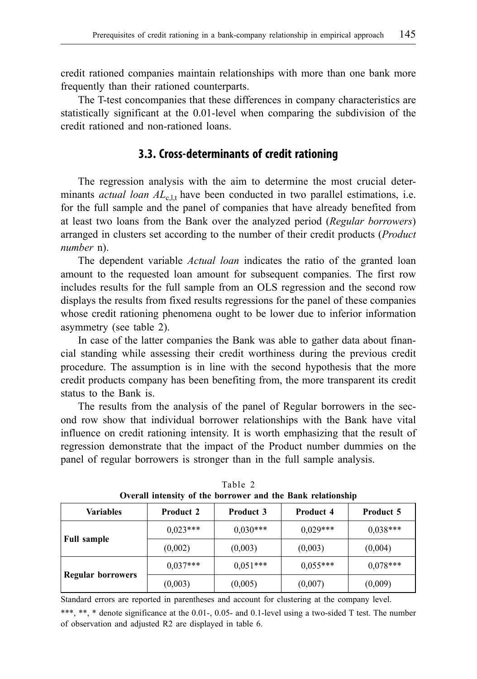credit rationed companies maintain relationships with more than one bank more frequently than their rationed counterparts.

The T-test concompanies that these differences in company characteristics are statistically significant at the 0.01-level when comparing the subdivision of the credit rationed and non-rationed loans.

#### **3.3. Cross-determinants of credit rationing**

The regression analysis with the aim to determine the most crucial determinants *actual loan AL*<sub>c,lt</sub> have been conducted in two parallel estimations, i.e. for the full sample and the panel of companies that have already benefited from at least two loans from the Bank over the analyzed period (*Regular borrowers*) arranged in clusters set according to the number of their credit products (*Product number* n).

The dependent variable *Actual loan* indicates the ratio of the granted loan amount to the requested loan amount for subsequent companies. The first row includes results for the full sample from an OLS regression and the second row displays the results from fixed results regressions for the panel of these companies whose credit rationing phenomena ought to be lower due to inferior information asymmetry (see table 2).

In case of the latter companies the Bank was able to gather data about financial standing while assessing their credit worthiness during the previous credit procedure. The assumption is in line with the second hypothesis that the more credit products company has been benefiting from, the more transparent its credit status to the Bank is.

The results from the analysis of the panel of Regular borrowers in the second row show that individual borrower relationships with the Bank have vital influence on credit rationing intensity. It is worth emphasizing that the result of regression demonstrate that the impact of the Product number dummies on the panel of regular borrowers is stronger than in the full sample analysis.

| Variables          | <b>Product 2</b> | <b>Product 3</b> | <b>Product 4</b> | <b>Product 5</b> |
|--------------------|------------------|------------------|------------------|------------------|
| <b>Full sample</b> | $0.023***$       | $0.030***$       | $0.029***$       | $0.038***$       |
|                    | (0,002)          | (0,003)          | (0,003)          | (0,004)          |
| Regular borrowers  | $0,037***$       | $0.051***$       | $0.055***$       | $0.078***$       |
|                    | (0,003)          | (0,005)          | (0,007)          | (0,009)          |

Table 2 **Overall intensity of the borrower and the Bank relationship**

Standard errors are reported in parentheses and account for clustering at the company level.

\*\*\*, \*\*, \* denote significance at the 0.01-, 0.05- and 0.1-level using a two-sided T test. The number of observation and adjusted R2 are displayed in table 6.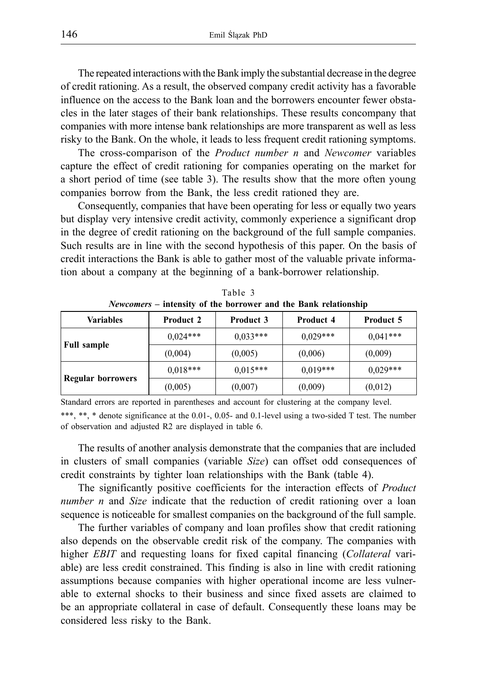The repeated interactions with the Bank imply the substantial decrease in the degree of credit rationing. As a result, the observed company credit activity has a favorable influence on the access to the Bank loan and the borrowers encounter fewer obstacles in the later stages of their bank relationships. These results concompany that companies with more intense bank relationships are more transparent as well as less risky to the Bank. On the whole, it leads to less frequent credit rationing symptoms.

The cross-comparison of the *Product number n* and *Newcomer* variables capture the effect of credit rationing for companies operating on the market for a short period of time (see table 3). The results show that the more often young companies borrow from the Bank, the less credit rationed they are.

Consequently, companies that have been operating for less or equally two years but display very intensive credit activity, commonly experience a significant drop in the degree of credit rationing on the background of the full sample companies. Such results are in line with the second hypothesis of this paper. On the basis of credit interactions the Bank is able to gather most of the valuable private information about a company at the beginning of a bank-borrower relationship.

| $P$ is a set of the contracted that the band is the state of $P$ is a set of $P$ is a set of $P$ is a set of $P$ is a set of $P$ is a set of $P$ is a set of $P$ is a set of $P$ is a set of $P$ is a set of $P$ is a set of |                                      |            |            |                  |  |
|------------------------------------------------------------------------------------------------------------------------------------------------------------------------------------------------------------------------------|--------------------------------------|------------|------------|------------------|--|
| <b>Variables</b>                                                                                                                                                                                                             | <b>Product 2</b><br><b>Product 3</b> |            | Product 4  | <b>Product 5</b> |  |
| <b>Full sample</b>                                                                                                                                                                                                           | $0.024***$                           | $0.033***$ | $0.029***$ | $0.041***$       |  |
|                                                                                                                                                                                                                              | (0,004)                              | (0,005)    | (0,006)    | (0,009)          |  |
| <b>Regular borrowers</b>                                                                                                                                                                                                     | $0.018***$                           | $0.015***$ | $0.019***$ | $0.029***$       |  |
|                                                                                                                                                                                                                              | (0,005)                              | (0,007)    | (0,009)    | (0,012)          |  |

Table 3 *Newcomers* **– intensity of the borrower and the Bank relationship**

Standard errors are reported in parentheses and account for clustering at the company level. \*\*\*, \*\*, \* denote significance at the 0.01-, 0.05- and 0.1-level using a two-sided T test. The number of observation and adjusted R2 are displayed in table 6.

The results of another analysis demonstrate that the companies that are included in clusters of small companies (variable *Size*) can offset odd consequences of credit constraints by tighter loan relationships with the Bank (table 4).

The significantly positive coefficients for the interaction effects of *Product number n* and *Size* indicate that the reduction of credit rationing over a loan sequence is noticeable for smallest companies on the background of the full sample.

The further variables of company and loan profiles show that credit rationing also depends on the observable credit risk of the company. The companies with higher *EBIT* and requesting loans for fixed capital financing (*Collateral* variable) are less credit constrained. This finding is also in line with credit rationing assumptions because companies with higher operational income are less vulnerable to external shocks to their business and since fixed assets are claimed to be an appropriate collateral in case of default. Consequently these loans may be considered less risky to the Bank.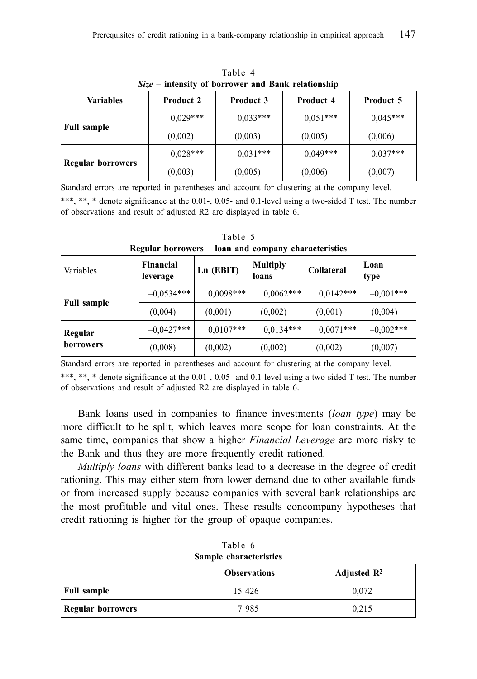| <b>Variables</b>         | <b>Product 2</b> | <b>Product 3</b> | <b>Product 4</b> | <b>Product 5</b> |
|--------------------------|------------------|------------------|------------------|------------------|
|                          | $0,029***$       | $0.033***$       | $0.051***$       | $0.045***$       |
| <b>Full sample</b>       | (0,002)          | (0,003)          | (0,005)          | (0,006)          |
| <b>Regular borrowers</b> | $0.028***$       | $0.031***$       | $0.049***$       | $0.037***$       |
|                          | (0,003)          | (0,005)          | (0,006)          | (0,007)          |

Table 4 *Size –* **intensity of borrower and Bank relationship**

Standard errors are reported in parentheses and account for clustering at the company level.

\*\*\*, \*\*, \* denote significance at the 0.01-, 0.05- and 0.1-level using a two-sided T test. The number of observations and result of adjusted R2 are displayed in table 6.

| Variables          | Financial<br>leverage | Ln (EBIT)   | <b>Multiply</b><br>loans | <b>Collateral</b> | Loan<br>type |
|--------------------|-----------------------|-------------|--------------------------|-------------------|--------------|
|                    | $-0.0534***$          | $0,0098***$ | $0,0062***$              | $0,0142***$       | $-0.001***$  |
| <b>Full sample</b> | (0.004)               | (0.001)     | (0,002)                  | (0,001)           | (0,004)      |
| Regular            | $-0.0427***$          | $0,0107***$ | $0,0134***$              | $0,0071***$       | $-0.002***$  |
| <b>borrowers</b>   | (0,008)               | (0,002)     | (0,002)                  | (0,002)           | (0,007)      |

Table 5 **Regular borrowers – loan and company characteristics**

Standard errors are reported in parentheses and account for clustering at the company level.

\*\*\*, \*\*, \* denote significance at the 0.01-, 0.05- and 0.1-level using a two-sided T test. The number of observations and result of adjusted R2 are displayed in table 6.

Bank loans used in companies to finance investments (*loan type*) may be more difficult to be split, which leaves more scope for loan constraints. At the same time, companies that show a higher *Financial Leverage* are more risky to the Bank and thus they are more frequently credit rationed.

*Multiply loans* with different banks lead to a decrease in the degree of credit rationing. This may either stem from lower demand due to other available funds or from increased supply because companies with several bank relationships are the most profitable and vital ones. These results concompany hypotheses that credit rationing is higher for the group of opaque companies.

| Sample characteristics                         |         |       |  |  |  |  |
|------------------------------------------------|---------|-------|--|--|--|--|
| Adjusted $\mathbb{R}^2$<br><b>Observations</b> |         |       |  |  |  |  |
| <b>Full sample</b>                             | 15 4 26 | 0,072 |  |  |  |  |
| Regular borrowers                              | 7985    | 0.215 |  |  |  |  |

Table 6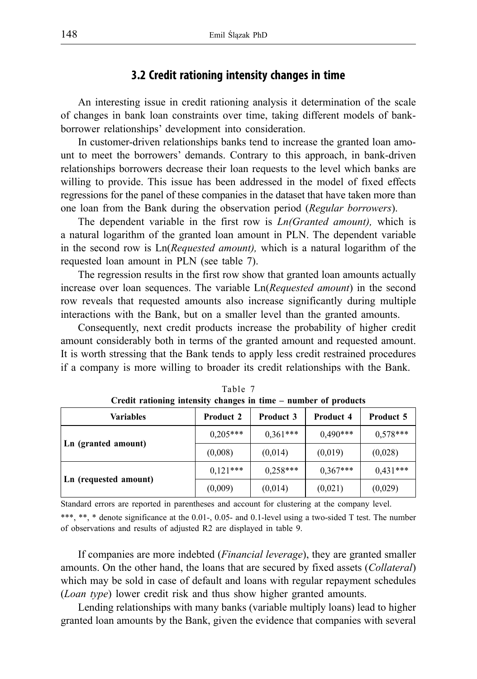#### **3.2 Credit rationing intensity changes in time**

An interesting issue in credit rationing analysis it determination of the scale of changes in bank loan constraints over time, taking different models of bankborrower relationships' development into consideration.

In customer-driven relationships banks tend to increase the granted loan amount to meet the borrowers' demands. Contrary to this approach, in bank-driven relationships borrowers decrease their loan requests to the level which banks are willing to provide. This issue has been addressed in the model of fixed effects regressions for the panel of these companies in the dataset that have taken more than one loan from the Bank during the observation period (*Regular borrowers*).

The dependent variable in the first row is *Ln(Granted amount),* which is a natural logarithm of the granted loan amount in PLN. The dependent variable in the second row is Ln(*Requested amount),* which is a natural logarithm of the requested loan amount in PLN (see table 7).

The regression results in the first row show that granted loan amounts actually increase over loan sequences. The variable Ln(*Requested amount*) in the second row reveals that requested amounts also increase significantly during multiple interactions with the Bank, but on a smaller level than the granted amounts.

Consequently, next credit products increase the probability of higher credit amount considerably both in terms of the granted amount and requested amount. It is worth stressing that the Bank tends to apply less credit restrained procedures if a company is more willing to broader its credit relationships with the Bank.

| <b>Variables</b>      | <b>Product 2</b> | <b>Product 3</b> | <b>Product 4</b> | Product 5  |  |
|-----------------------|------------------|------------------|------------------|------------|--|
|                       | $0.205***$       | $0.361***$       | $0.490***$       | $0,578***$ |  |
| Ln (granted amount)   | (0,008)          | (0,014)          | (0,019)          | (0,028)    |  |
|                       | $0.121***$       | $0.258***$       | $0,367***$       | $0.431***$ |  |
| Ln (requested amount) | (0,009)          | (0,014)          | (0,021)          | (0,029)    |  |

|                                                                 | Table 7 |  |
|-----------------------------------------------------------------|---------|--|
| Credit rationing intensity changes in time – number of products |         |  |

Standard errors are reported in parentheses and account for clustering at the company level. \*\*\*, \*\*, \* denote significance at the 0.01-, 0.05- and 0.1-level using a two-sided T test. The number of observations and results of adjusted R2 are displayed in table 9.

If companies are more indebted (*Financial leverage*), they are granted smaller amounts. On the other hand, the loans that are secured by fixed assets (*Collateral*) which may be sold in case of default and loans with regular repayment schedules (*Loan type*) lower credit risk and thus show higher granted amounts.

Lending relationships with many banks (variable multiply loans) lead to higher granted loan amounts by the Bank, given the evidence that companies with several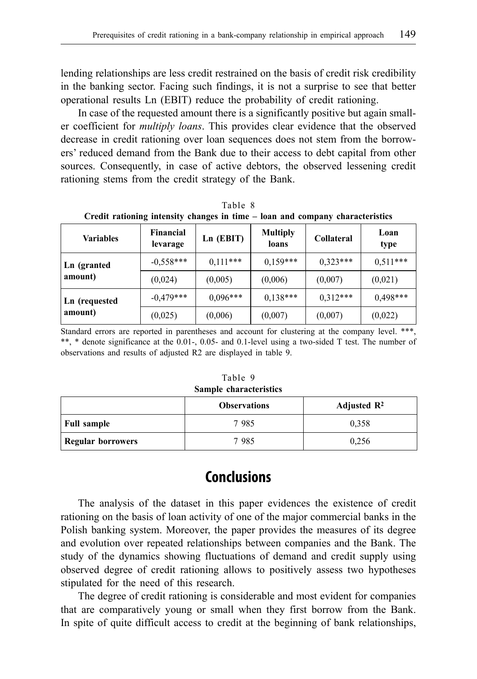lending relationships are less credit restrained on the basis of credit risk credibility in the banking sector. Facing such findings, it is not a surprise to see that better operational results Ln (EBIT) reduce the probability of credit rationing.

In case of the requested amount there is a significantly positive but again smaller coefficient for *multiply loans*. This provides clear evidence that the observed decrease in credit rationing over loan sequences does not stem from the borrowers' reduced demand from the Bank due to their access to debt capital from other sources. Consequently, in case of active debtors, the observed lessening credit rationing stems from the credit strategy of the Bank.

|                                                                               | Table 8 |  |
|-------------------------------------------------------------------------------|---------|--|
| Credit rationing intensity changes in time – loan and company characteristics |         |  |

| <b>Variables</b> | <b>Financial</b><br>levarage | Ln (EBIT)  | <b>Multiply</b><br>loans | <b>Collateral</b> | Loan<br>type |
|------------------|------------------------------|------------|--------------------------|-------------------|--------------|
| Ln (granted      | $-0,558***$                  | $0.111***$ | $0,159***$               | $0.323***$        | $0.511***$   |
| amount)          | (0,024)                      | (0,005)    | (0,006)                  | (0,007)           | (0,021)      |
| Ln (requested    | $-0.479***$                  | $0.096***$ | $0.138***$               | $0,312***$        | $0.498***$   |
| amount)          | (0,025)                      | (0,006)    | (0,007)                  | (0,007)           | (0,022)      |

Standard errors are reported in parentheses and account for clustering at the company level. \*\*\*, \*\*, \* denote significance at the 0.01-, 0.05- and 0.1-level using a two-sided T test. The number of observations and results of adjusted R2 are displayed in table 9.

|                        | Table 9 |  |  |
|------------------------|---------|--|--|
| Sample characteristics |         |  |  |

|                          | <b>Observations</b> | Adjusted $\mathbb{R}^2$ |
|--------------------------|---------------------|-------------------------|
| <b>Full sample</b>       | 7985                | 0,358                   |
| <b>Regular borrowers</b> | 7985                | 0,256                   |

## **Conclusions**

The analysis of the dataset in this paper evidences the existence of credit rationing on the basis of loan activity of one of the major commercial banks in the Polish banking system. Moreover, the paper provides the measures of its degree and evolution over repeated relationships between companies and the Bank. The study of the dynamics showing fluctuations of demand and credit supply using observed degree of credit rationing allows to positively assess two hypotheses stipulated for the need of this research.

The degree of credit rationing is considerable and most evident for companies that are comparatively young or small when they first borrow from the Bank. In spite of quite difficult access to credit at the beginning of bank relationships,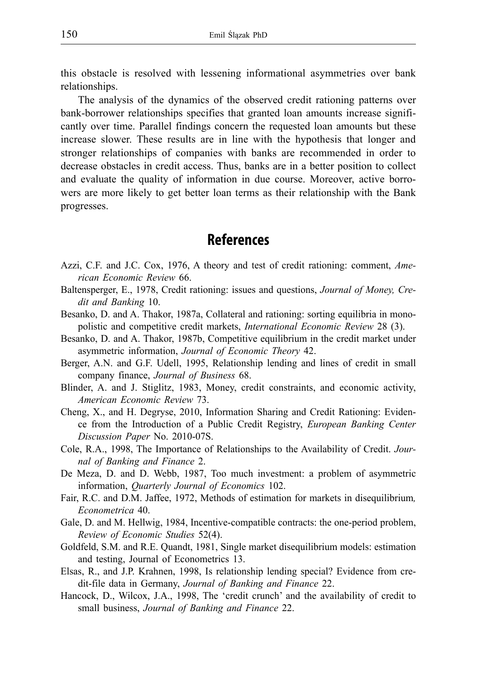this obstacle is resolved with lessening informational asymmetries over bank relationships.

The analysis of the dynamics of the observed credit rationing patterns over bank-borrower relationships specifies that granted loan amounts increase significantly over time. Parallel findings concern the requested loan amounts but these increase slower. These results are in line with the hypothesis that longer and stronger relationships of companies with banks are recommended in order to decrease obstacles in credit access. Thus, banks are in a better position to collect and evaluate the quality of information in due course. Moreover, active borrowers are more likely to get better loan terms as their relationship with the Bank progresses.

## **References**

- Azzi, C.F. and J.C. Cox, 1976, A theory and test of credit rationing: comment, *American Economic Review* 66.
- Baltensperger, E., 1978, Credit rationing: issues and questions, *Journal of Money, Credit and Banking* 10.
- Besanko, D. and A. Thakor, 1987a, Collateral and rationing: sorting equilibria in monopolistic and competitive credit markets, *International Economic Review* 28 (3).
- Besanko, D. and A. Thakor, 1987b, Competitive equilibrium in the credit market under asymmetric information, *Journal of Economic Theory* 42.
- Berger, A.N. and G.F. Udell, 1995, Relationship lending and lines of credit in small company finance, *Journal of Business* 68.
- Blinder, A. and J. Stiglitz, 1983, Money, credit constraints, and economic activity, *American Economic Review* 73.
- Cheng, X., and H. Degryse, 2010, Information Sharing and Credit Rationing: Evidence from the Introduction of a Public Credit Registry, *European Banking Center Discussion Paper* No. 2010-07S.
- Cole, R.A., 1998, The Importance of Relationships to the Availability of Credit. *Journal of Banking and Finance* 2.
- De Meza, D. and D. Webb, 1987, Too much investment: a problem of asymmetric information, *Quarterly Journal of Economics* 102.
- Fair, R.C. and D.M. Jaffee, 1972, Methods of estimation for markets in disequilibrium*, Econometrica* 40.
- Gale, D. and M. Hellwig, 1984, Incentive-compatible contracts: the one-period problem, *Review of Economic Studies* 52(4).
- Goldfeld, S.M. and R.E. Quandt, 1981, Single market disequilibrium models: estimation and testing, Journal of Econometrics 13.
- Elsas, R., and J.P. Krahnen, 1998, Is relationship lending special? Evidence from credit-file data in Germany, *Journal of Banking and Finance* 22.
- Hancock, D., Wilcox, J.A., 1998, The 'credit crunch' and the availability of credit to small business, *Journal of Banking and Finance* 22.